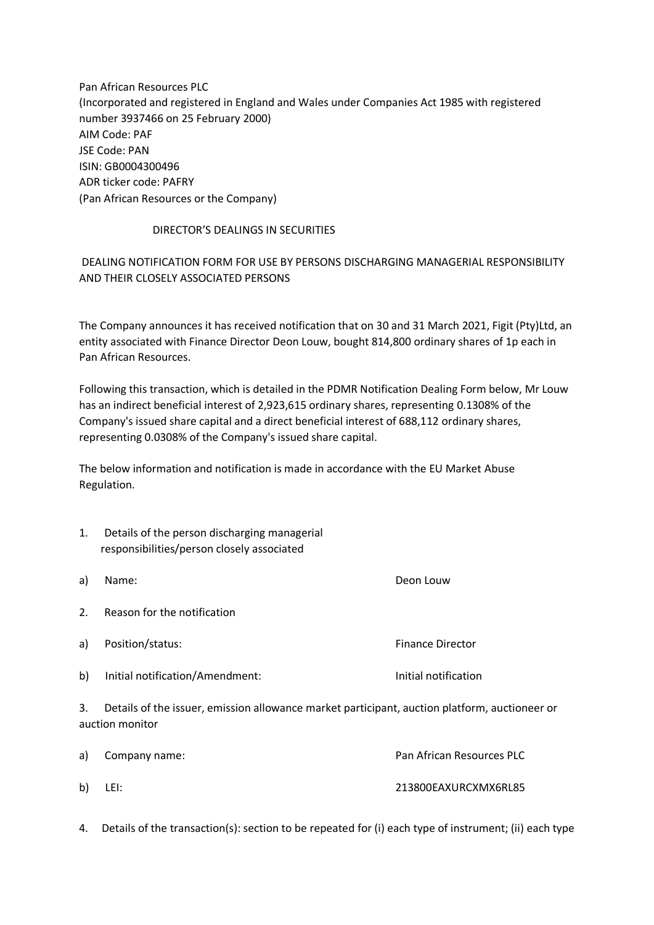Pan African Resources PLC (Incorporated and registered in England and Wales under Companies Act 1985 with registered number 3937466 on 25 February 2000) AIM Code: PAF JSE Code: PAN ISIN: GB0004300496 ADR ticker code: PAFRY (Pan African Resources or the Company)

## DIRECTOR'S DEALINGS IN SECURITIES

## DEALING NOTIFICATION FORM FOR USE BY PERSONS DISCHARGING MANAGERIAL RESPONSIBILITY AND THEIR CLOSELY ASSOCIATED PERSONS

The Company announces it has received notification that on 30 and 31 March 2021, Figit (Pty)Ltd, an entity associated with Finance Director Deon Louw, bought 814,800 ordinary shares of 1p each in Pan African Resources.

Following this transaction, which is detailed in the PDMR Notification Dealing Form below, Mr Louw has an indirect beneficial interest of 2,923,615 ordinary shares, representing 0.1308% of the Company's issued share capital and a direct beneficial interest of 688,112 ordinary shares, representing 0.0308% of the Company's issued share capital.

The below information and notification is made in accordance with the EU Market Abuse Regulation.

- 1. Details of the person discharging managerial responsibilities/person closely associated
- a) Name: Deon Louw 2. Reason for the notification a) Position/status: The example of the example of the example of the example of the example of the example of the example of the example of the example of the example of the example of the example of the example of the exa
- b) Initial notification/Amendment: Initial notification

3. Details of the issuer, emission allowance market participant, auction platform, auctioneer or auction monitor

| a) Company name: | Pan African Resources PLC |
|------------------|---------------------------|
| b) LEI:          | 213800EAXURCXMX6RL85      |

4. Details of the transaction(s): section to be repeated for (i) each type of instrument; (ii) each type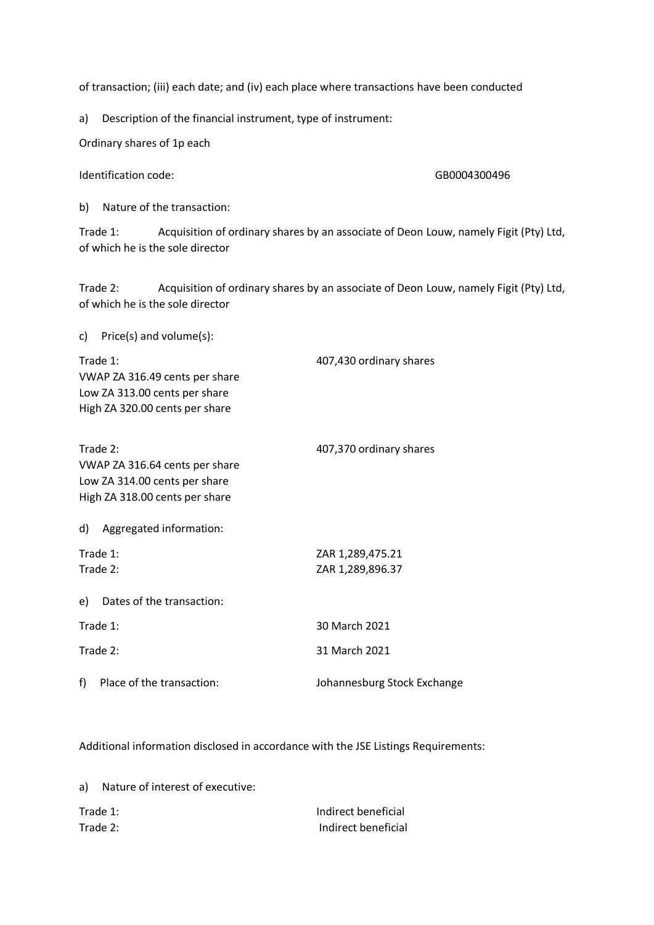of transaction; (iii) each date; and (iv) each place where transactions have been conducted

a) Description of the financial instrument, type of instrument:

Ordinary shares of 1p each

Identification code: GB0004300496

b) Nature of the transaction:

Trade 1: Acquisition of ordinary shares by an associate of Deon Louw, namely Figit (Pty) Ltd, of which he is the sole director

Trade 2: Acquisition of ordinary shares by an associate of Deon Louw, namely Figit (Pty) Ltd, of which he is the sole director

c) Price(s) and volume(s):

| Trade 1:                       |                                | 407,430 ordinary shares     |
|--------------------------------|--------------------------------|-----------------------------|
| VWAP ZA 316.49 cents per share |                                |                             |
| Low ZA 313.00 cents per share  |                                |                             |
| High ZA 320.00 cents per share |                                |                             |
|                                |                                |                             |
| Trade 2:                       |                                | 407,370 ordinary shares     |
| VWAP ZA 316.64 cents per share |                                |                             |
| Low ZA 314.00 cents per share  |                                |                             |
|                                | High ZA 318.00 cents per share |                             |
| d)                             | Aggregated information:        |                             |
|                                |                                |                             |
| Trade 1:                       |                                | ZAR 1,289,475.21            |
| Trade 2:                       |                                | ZAR 1,289,896.37            |
| e)                             | Dates of the transaction:      |                             |
|                                |                                | 30 March 2021               |
| Trade 1:                       |                                |                             |
| Trade 2:                       |                                | 31 March 2021               |
| f)                             | Place of the transaction:      | Johannesburg Stock Exchange |

Additional information disclosed in accordance with the JSE Listings Requirements:

| a)       | Nature of interest of executive: |                     |
|----------|----------------------------------|---------------------|
| Trade 1: |                                  | Indirect beneficial |
| Trade 2: |                                  | Indirect beneficial |